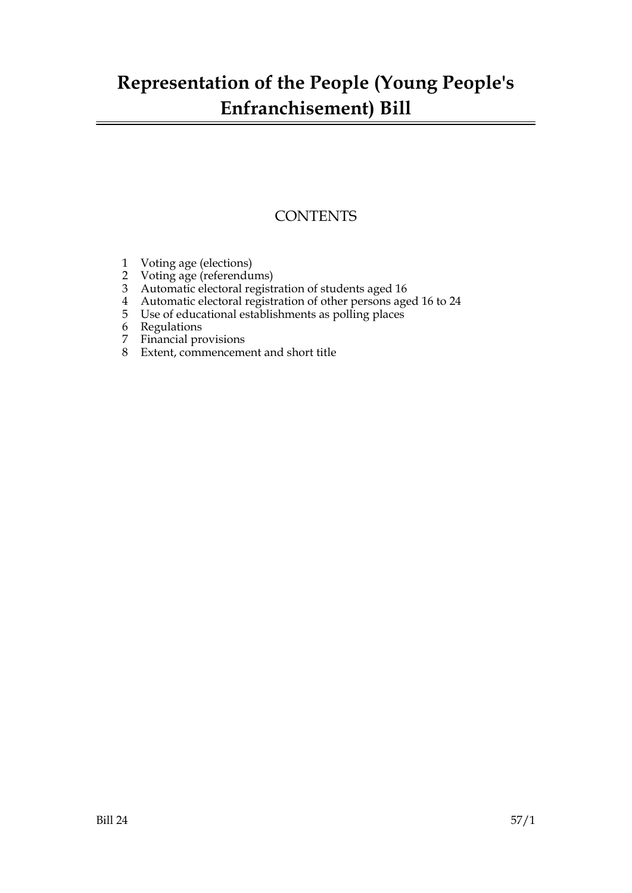## **Representation of the People (Young People's Enfranchisement) Bill**

### **CONTENTS**

- 1 Voting age (elections)
- 2 Voting age (referendums)
- 3 Automatic electoral registration of students aged 16
- 4 Automatic electoral registration of other persons aged 16 to 24
- 5 Use of educational establishments as polling places
- $\frac{6}{5}$  Regulations
- 7 Financial provisions
- 8 Extent, commencement and short title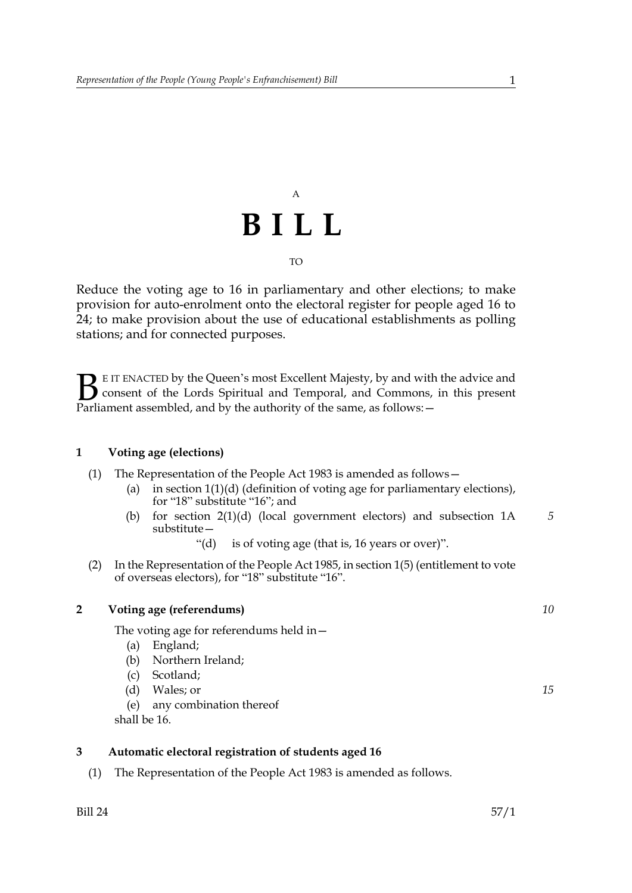# A **BILL** TO

Reduce the voting age to 16 in parliamentary and other elections; to make provision for auto-enrolment onto the electoral register for people aged 16 to 24; to make provision about the use of educational establishments as polling stations; and for connected purposes.

E IT ENACTED by the Queen's most Excellent Majesty, by and with the advice and consent of the Lords Spiritual and Temporal, and Commons, in this present Parliament assembled, and by the authority of the same, as follows: - $\mathbf{B}_{\text{rel}}$ 

#### **1 Voting age (elections)**

- (1) The Representation of the People Act 1983 is amended as follows—
	- (a) in section 1(1)(d) (definition of voting age for parliamentary elections), for "18" substitute "16"; and
	- (b) for section 2(1)(d) (local government electors) and subsection 1A substitute— *5*

"(d) is of voting age (that is, 16 years or over)".

(2) In the Representation of the People Act 1985, in section 1(5) (entitlement to vote of overseas electors), for "18" substitute "16".

#### **2 Voting age (referendums)**

The voting age for referendums held in—

- (a) England;
- (b) Northern Ireland;
- (c) Scotland;
- (d) Wales; or
- (e) any combination thereof

shall be 16.

#### **3 Automatic electoral registration of students aged 16**

(1) The Representation of the People Act 1983 is amended as follows.

*15*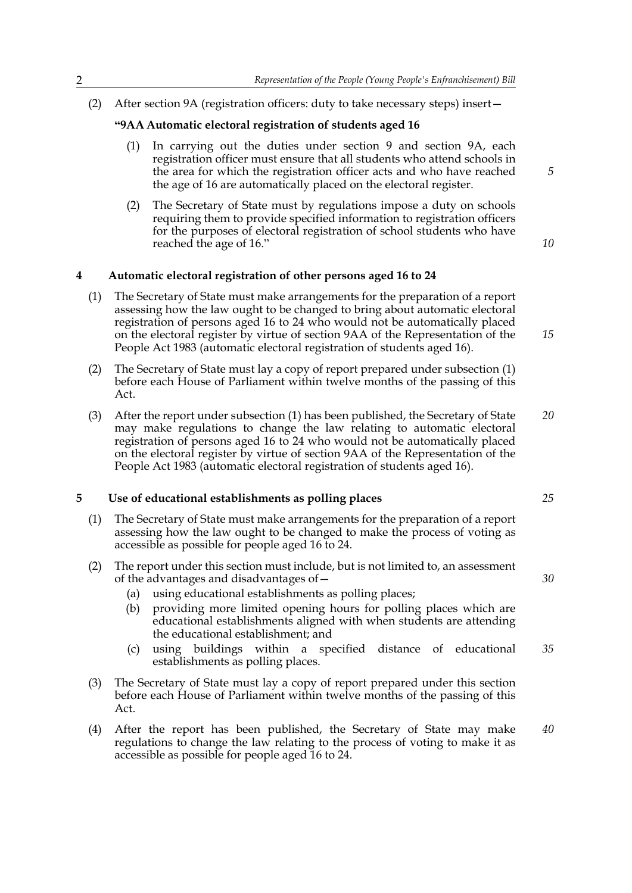(2) After section 9A (registration officers: duty to take necessary steps) insert—

#### **"9AA Automatic electoral registration of students aged 16**

- (1) In carrying out the duties under section 9 and section 9A, each registration officer must ensure that all students who attend schools in the area for which the registration officer acts and who have reached the age of 16 are automatically placed on the electoral register.
- (2) The Secretary of State must by regulations impose a duty on schools requiring them to provide specified information to registration officers for the purposes of electoral registration of school students who have reached the age of 16."

#### **4 Automatic electoral registration of other persons aged 16 to 24**

- (1) The Secretary of State must make arrangements for the preparation of a report assessing how the law ought to be changed to bring about automatic electoral registration of persons aged 16 to 24 who would not be automatically placed on the electoral register by virtue of section 9AA of the Representation of the People Act 1983 (automatic electoral registration of students aged 16).
- (2) The Secretary of State must lay a copy of report prepared under subsection (1) before each House of Parliament within twelve months of the passing of this Act.
- (3) After the report under subsection (1) has been published, the Secretary of State may make regulations to change the law relating to automatic electoral registration of persons aged 16 to 24 who would not be automatically placed on the electoral register by virtue of section 9AA of the Representation of the People Act 1983 (automatic electoral registration of students aged 16). *20*

#### **5 Use of educational establishments as polling places**

- (1) The Secretary of State must make arrangements for the preparation of a report assessing how the law ought to be changed to make the process of voting as accessible as possible for people aged 16 to 24.
- (2) The report under this section must include, but is not limited to, an assessment of the advantages and disadvantages of—
	- (a) using educational establishments as polling places;
	- (b) providing more limited opening hours for polling places which are educational establishments aligned with when students are attending the educational establishment; and
	- (c) using buildings within a specified distance of educational establishments as polling places. *35*
- (3) The Secretary of State must lay a copy of report prepared under this section before each House of Parliament within twelve months of the passing of this Act.
- (4) After the report has been published, the Secretary of State may make regulations to change the law relating to the process of voting to make it as accessible as possible for people aged 16 to 24. *40*

*5*

*10*

*15*

*25*

*30*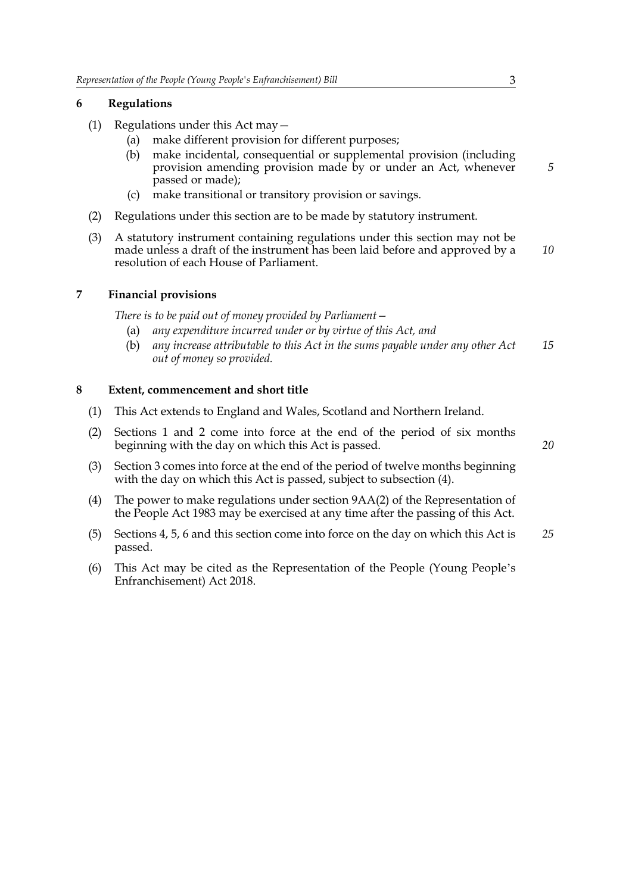#### **6 Regulations**

- (1) Regulations under this Act may—
	- (a) make different provision for different purposes;
	- (b) make incidental, consequential or supplemental provision (including provision amending provision made by or under an Act, whenever passed or made);
	- (c) make transitional or transitory provision or savings.
- (2) Regulations under this section are to be made by statutory instrument.
- (3) A statutory instrument containing regulations under this section may not be made unless a draft of the instrument has been laid before and approved by a resolution of each House of Parliament. *10*

#### **7 Financial provisions**

*There is to be paid out of money provided by Parliament—*

- (a) *any expenditure incurred under or by virtue of this Act, and*
- (b) *any increase attributable to this Act in the sums payable under any other Act out of money so provided. 15*

#### **8 Extent, commencement and short title**

- (1) This Act extends to England and Wales, Scotland and Northern Ireland.
- (2) Sections 1 and 2 come into force at the end of the period of six months beginning with the day on which this Act is passed.
- (3) Section 3 comes into force at the end of the period of twelve months beginning with the day on which this Act is passed, subject to subsection (4).
- (4) The power to make regulations under section 9AA(2) of the Representation of the People Act 1983 may be exercised at any time after the passing of this Act.
- (5) Sections 4, 5, 6 and this section come into force on the day on which this Act is passed. *25*
- (6) This Act may be cited as the Representation of the People (Young People's Enfranchisement) Act 2018.

*5*

*20*